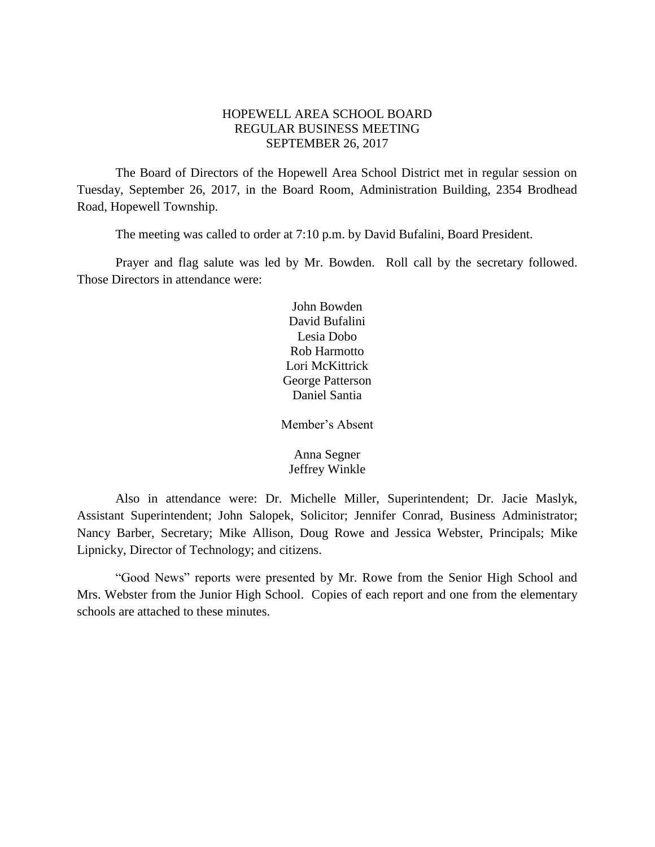# HOPEWELL AREA SCHOOL BOARD REGULAR BUSINESS MEETING SEPTEMBER 26, 2017

The Board of Directors of the Hopewell Area School District met in regular session on Tuesday, September 26, 2017, in the Board Room, Administration Building, 2354 Brodhead Road, Hopewell Township.

The meeting was called to order at 7:10 p.m. by David Bufalini, Board President.

Prayer and flag salute was led by Mr. Bowden. Roll call by the secretary followed. Those Directors in attendance were:

> John Bowden David Bufalini Lesia Dobo Rob Harmotto Lori McKittrick George Patterson Daniel Santia

Member's Absent

Anna Segner Jeffrey Winkle

Also in attendance were: Dr. Michelle Miller, Superintendent; Dr. Jacie Maslyk, Assistant Superintendent; John Salopek, Solicitor; Jennifer Conrad, Business Administrator; Nancy Barber, Secretary; Mike Allison, Doug Rowe and Jessica Webster, Principals; Mike Lipnicky, Director of Technology; and citizens.

"Good News" reports were presented by Mr. Rowe from the Senior High School and Mrs. Webster from the Junior High School. Copies of each report and one from the elementary schools are attached to these minutes.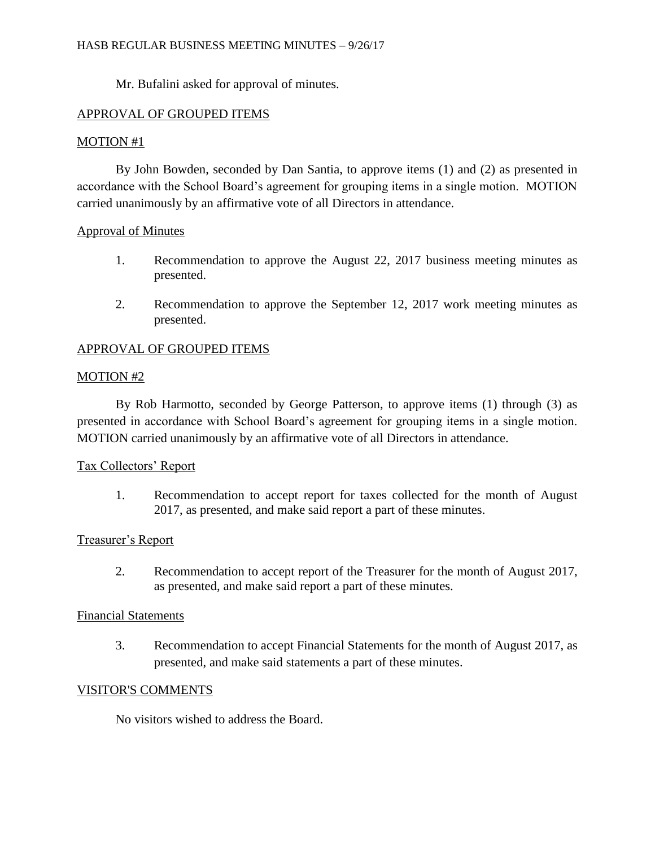Mr. Bufalini asked for approval of minutes.

# APPROVAL OF GROUPED ITEMS

# MOTION #1

By John Bowden, seconded by Dan Santia, to approve items (1) and (2) as presented in accordance with the School Board's agreement for grouping items in a single motion. MOTION carried unanimously by an affirmative vote of all Directors in attendance.

## Approval of Minutes

- 1. Recommendation to approve the August 22, 2017 business meeting minutes as presented.
- 2. Recommendation to approve the September 12, 2017 work meeting minutes as presented.

# APPROVAL OF GROUPED ITEMS

# MOTION #2

By Rob Harmotto, seconded by George Patterson, to approve items (1) through (3) as presented in accordance with School Board's agreement for grouping items in a single motion. MOTION carried unanimously by an affirmative vote of all Directors in attendance.

# Tax Collectors' Report

1. Recommendation to accept report for taxes collected for the month of August 2017, as presented, and make said report a part of these minutes.

# Treasurer's Report

2. Recommendation to accept report of the Treasurer for the month of August 2017, as presented, and make said report a part of these minutes.

## Financial Statements

3. Recommendation to accept Financial Statements for the month of August 2017, as presented, and make said statements a part of these minutes.

## VISITOR'S COMMENTS

No visitors wished to address the Board.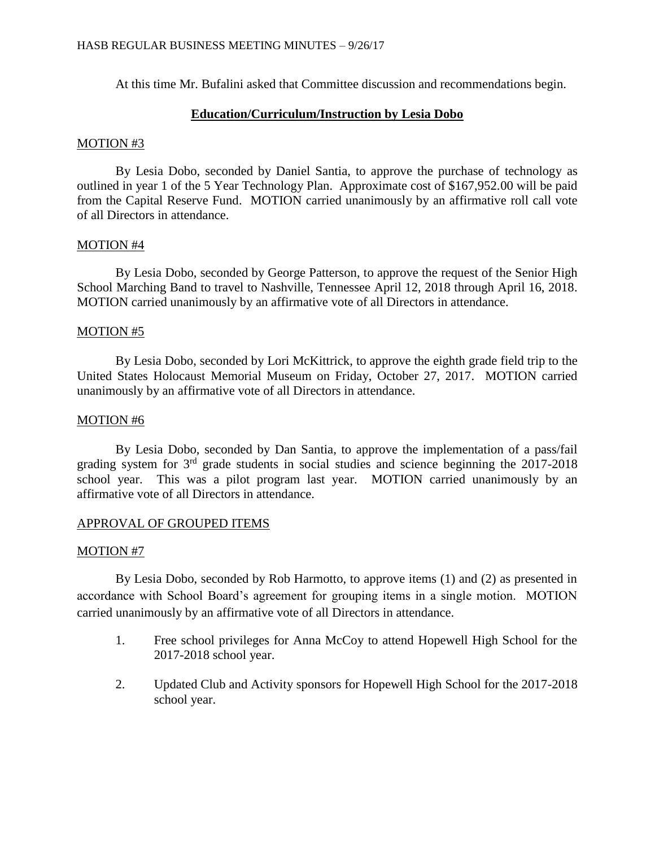At this time Mr. Bufalini asked that Committee discussion and recommendations begin.

## **Education/Curriculum/Instruction by Lesia Dobo**

## MOTION #3

By Lesia Dobo, seconded by Daniel Santia, to approve the purchase of technology as outlined in year 1 of the 5 Year Technology Plan. Approximate cost of \$167,952.00 will be paid from the Capital Reserve Fund. MOTION carried unanimously by an affirmative roll call vote of all Directors in attendance.

## MOTION #4

By Lesia Dobo, seconded by George Patterson, to approve the request of the Senior High School Marching Band to travel to Nashville, Tennessee April 12, 2018 through April 16, 2018. MOTION carried unanimously by an affirmative vote of all Directors in attendance.

## MOTION #5

By Lesia Dobo, seconded by Lori McKittrick, to approve the eighth grade field trip to the United States Holocaust Memorial Museum on Friday, October 27, 2017. MOTION carried unanimously by an affirmative vote of all Directors in attendance.

## MOTION #6

By Lesia Dobo, seconded by Dan Santia, to approve the implementation of a pass/fail grading system for 3rd grade students in social studies and science beginning the 2017-2018 school year. This was a pilot program last year. MOTION carried unanimously by an affirmative vote of all Directors in attendance.

# APPROVAL OF GROUPED ITEMS

## MOTION #7

By Lesia Dobo, seconded by Rob Harmotto, to approve items (1) and (2) as presented in accordance with School Board's agreement for grouping items in a single motion. MOTION carried unanimously by an affirmative vote of all Directors in attendance.

- 1. Free school privileges for Anna McCoy to attend Hopewell High School for the 2017-2018 school year.
- 2. Updated Club and Activity sponsors for Hopewell High School for the 2017-2018 school year.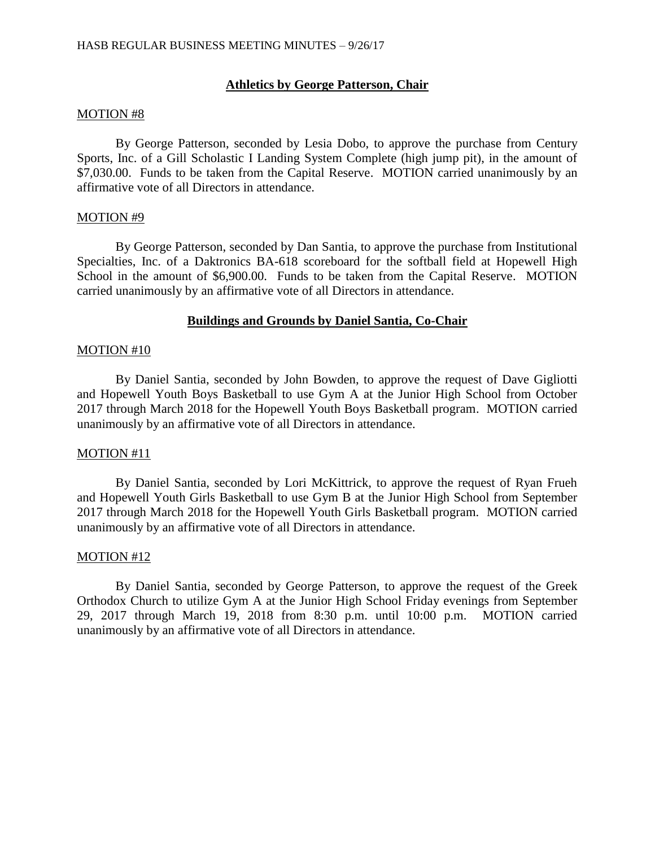# **Athletics by George Patterson, Chair**

### MOTION #8

By George Patterson, seconded by Lesia Dobo, to approve the purchase from Century Sports, Inc. of a Gill Scholastic I Landing System Complete (high jump pit), in the amount of \$7,030.00. Funds to be taken from the Capital Reserve. MOTION carried unanimously by an affirmative vote of all Directors in attendance.

## MOTION #9

By George Patterson, seconded by Dan Santia, to approve the purchase from Institutional Specialties, Inc. of a Daktronics BA-618 scoreboard for the softball field at Hopewell High School in the amount of \$6,900.00. Funds to be taken from the Capital Reserve. MOTION carried unanimously by an affirmative vote of all Directors in attendance.

## **Buildings and Grounds by Daniel Santia, Co-Chair**

#### MOTION #10

By Daniel Santia, seconded by John Bowden, to approve the request of Dave Gigliotti and Hopewell Youth Boys Basketball to use Gym A at the Junior High School from October 2017 through March 2018 for the Hopewell Youth Boys Basketball program. MOTION carried unanimously by an affirmative vote of all Directors in attendance.

## MOTION #11

By Daniel Santia, seconded by Lori McKittrick, to approve the request of Ryan Frueh and Hopewell Youth Girls Basketball to use Gym B at the Junior High School from September 2017 through March 2018 for the Hopewell Youth Girls Basketball program. MOTION carried unanimously by an affirmative vote of all Directors in attendance.

## MOTION #12

By Daniel Santia, seconded by George Patterson, to approve the request of the Greek Orthodox Church to utilize Gym A at the Junior High School Friday evenings from September 29, 2017 through March 19, 2018 from 8:30 p.m. until 10:00 p.m. MOTION carried unanimously by an affirmative vote of all Directors in attendance.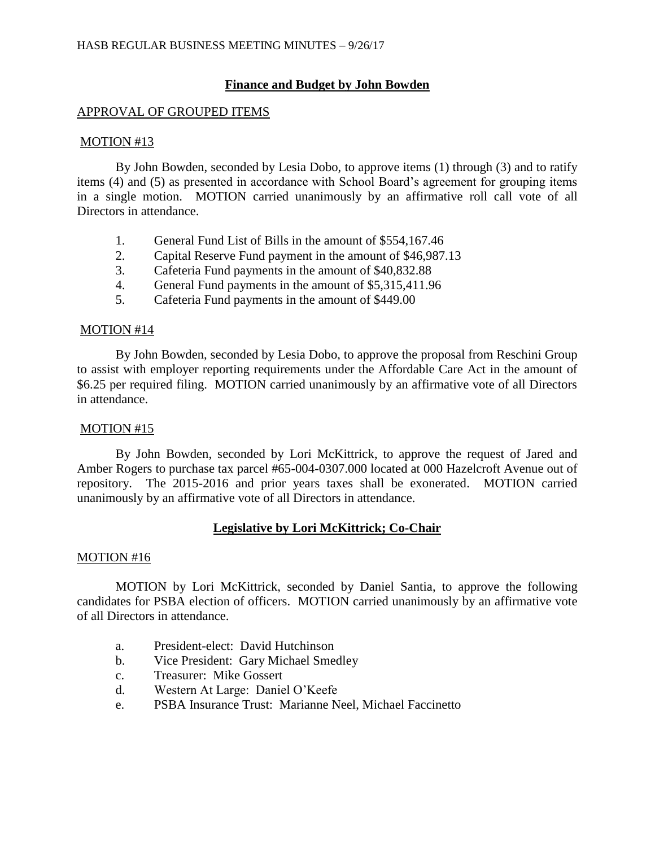# **Finance and Budget by John Bowden**

# APPROVAL OF GROUPED ITEMS

# MOTION #13

By John Bowden, seconded by Lesia Dobo, to approve items (1) through (3) and to ratify items (4) and (5) as presented in accordance with School Board's agreement for grouping items in a single motion. MOTION carried unanimously by an affirmative roll call vote of all Directors in attendance.

- 1. General Fund List of Bills in the amount of \$554,167.46
- 2. Capital Reserve Fund payment in the amount of \$46,987.13
- 3. Cafeteria Fund payments in the amount of \$40,832.88
- 4. General Fund payments in the amount of \$5,315,411.96
- 5. Cafeteria Fund payments in the amount of \$449.00

# MOTION #14

By John Bowden, seconded by Lesia Dobo, to approve the proposal from Reschini Group to assist with employer reporting requirements under the Affordable Care Act in the amount of \$6.25 per required filing. MOTION carried unanimously by an affirmative vote of all Directors in attendance.

## MOTION #15

By John Bowden, seconded by Lori McKittrick, to approve the request of Jared and Amber Rogers to purchase tax parcel #65-004-0307.000 located at 000 Hazelcroft Avenue out of repository. The 2015-2016 and prior years taxes shall be exonerated. MOTION carried unanimously by an affirmative vote of all Directors in attendance.

# **Legislative by Lori McKittrick; Co-Chair**

# MOTION #16

MOTION by Lori McKittrick, seconded by Daniel Santia, to approve the following candidates for PSBA election of officers. MOTION carried unanimously by an affirmative vote of all Directors in attendance.

- a. President-elect: David Hutchinson
- b. Vice President: Gary Michael Smedley
- c. Treasurer: Mike Gossert
- d. Western At Large: Daniel O'Keefe
- e. PSBA Insurance Trust: Marianne Neel, Michael Faccinetto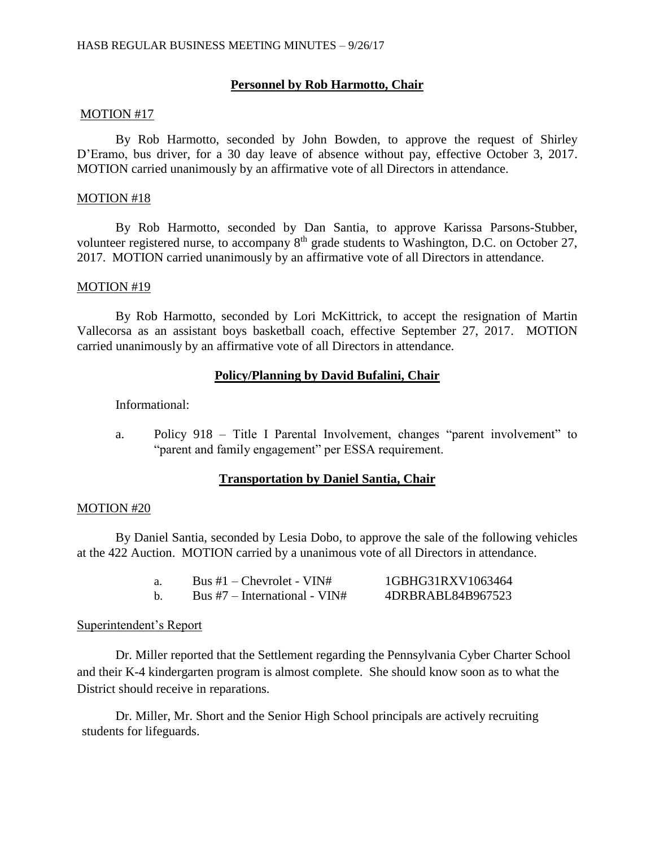# **Personnel by Rob Harmotto, Chair**

## MOTION #17

By Rob Harmotto, seconded by John Bowden, to approve the request of Shirley D'Eramo, bus driver, for a 30 day leave of absence without pay, effective October 3, 2017. MOTION carried unanimously by an affirmative vote of all Directors in attendance.

### MOTION #18

By Rob Harmotto, seconded by Dan Santia, to approve Karissa Parsons-Stubber, volunteer registered nurse, to accompany 8<sup>th</sup> grade students to Washington, D.C. on October 27, 2017. MOTION carried unanimously by an affirmative vote of all Directors in attendance.

## MOTION #19

By Rob Harmotto, seconded by Lori McKittrick, to accept the resignation of Martin Vallecorsa as an assistant boys basketball coach, effective September 27, 2017. MOTION carried unanimously by an affirmative vote of all Directors in attendance.

## **Policy/Planning by David Bufalini, Chair**

Informational:

a. Policy 918 – Title I Parental Involvement, changes "parent involvement" to "parent and family engagement" per ESSA requirement.

## **Transportation by Daniel Santia, Chair**

#### MOTION #20

By Daniel Santia, seconded by Lesia Dobo, to approve the sale of the following vehicles at the 422 Auction. MOTION carried by a unanimous vote of all Directors in attendance.

| Bus $#1$ – Chevrolet - VIN#     | 1GBHG31RXV1063464 |
|---------------------------------|-------------------|
| Bus $#7$ – International - VIN# | 4DRBRABL84B967523 |

## Superintendent's Report

Dr. Miller reported that the Settlement regarding the Pennsylvania Cyber Charter School and their K-4 kindergarten program is almost complete. She should know soon as to what the District should receive in reparations.

Dr. Miller, Mr. Short and the Senior High School principals are actively recruiting students for lifeguards.